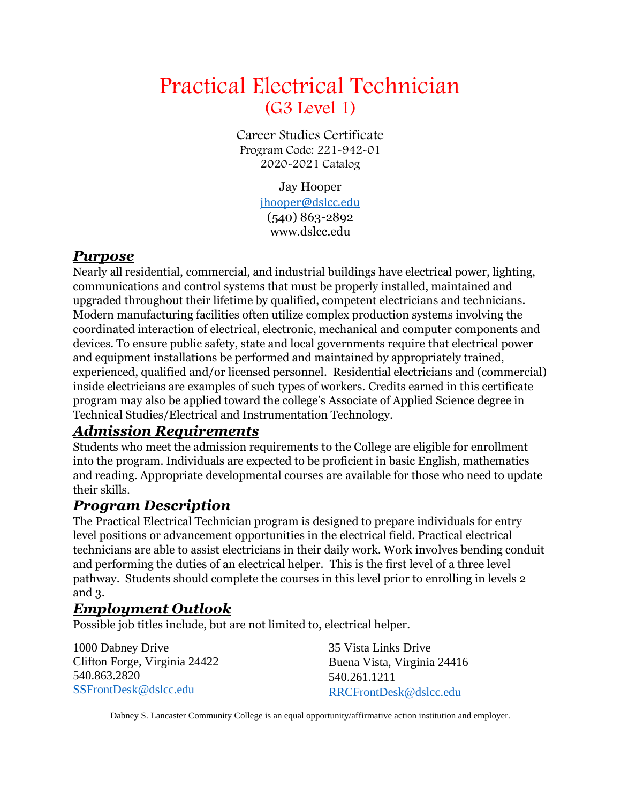# Practical Electrical Technician (G3 Level 1)

Career Studies Certificate Program Code: 221-942-01 2020-2021 Catalog

> Jay Hooper [jhooper@dslcc.edu](mailto:jhooper@dslcc.edu) (540) 863-2892 www.dslcc.edu

### *Purpose*

Nearly all residential, commercial, and industrial buildings have electrical power, lighting, communications and control systems that must be properly installed, maintained and upgraded throughout their lifetime by qualified, competent electricians and technicians. Modern manufacturing facilities often utilize complex production systems involving the coordinated interaction of electrical, electronic, mechanical and computer components and devices. To ensure public safety, state and local governments require that electrical power and equipment installations be performed and maintained by appropriately trained, experienced, qualified and/or licensed personnel. Residential electricians and (commercial) inside electricians are examples of such types of workers. Credits earned in this certificate program may also be applied toward the college's Associate of Applied Science degree in Technical Studies/Electrical and Instrumentation Technology.

## *Admission Requirements*

Students who meet the admission requirements to the College are eligible for enrollment into the program. Individuals are expected to be proficient in basic English, mathematics and reading. Appropriate developmental courses are available for those who need to update their skills.

### *Program Description*

The Practical Electrical Technician program is designed to prepare individuals for entry level positions or advancement opportunities in the electrical field. Practical electrical technicians are able to assist electricians in their daily work. Work involves bending conduit and performing the duties of an electrical helper. This is the first level of a three level pathway. Students should complete the courses in this level prior to enrolling in levels 2 and 3.

## *Employment Outlook*

Possible job titles include, but are not limited to, electrical helper.

1000 Dabney Drive Clifton Forge, Virginia 24422 540.863.2820 [SSFrontDesk@dslcc.edu](mailto:SSFrontDesk@dslcc.edu)

35 Vista Links Drive Buena Vista, Virginia 24416 540.261.1211 [RRCFrontDesk@dslcc.edu](mailto:RRCFrontDesk@dslcc.edu)

Dabney S. Lancaster Community College is an equal opportunity/affirmative action institution and employer.